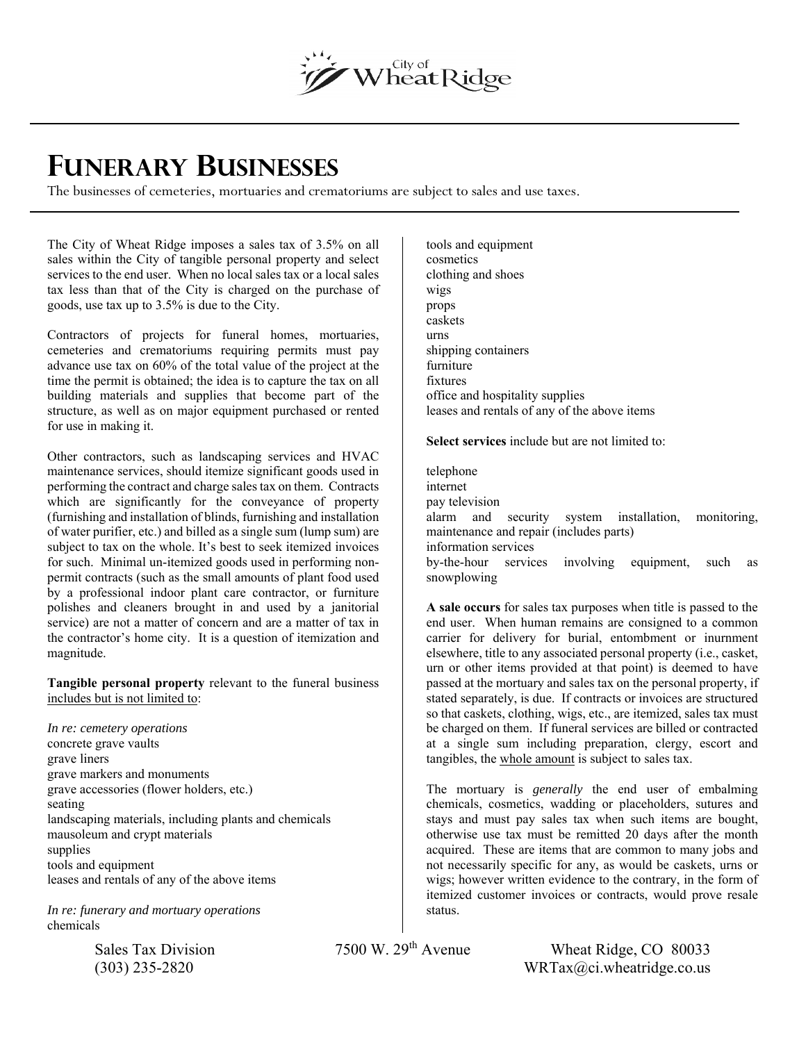

## **FUNERARY BUSINESSES**

The businesses of cemeteries, mortuaries and crematoriums are subject to sales and use taxes.

The City of Wheat Ridge imposes a sales tax of 3.5% on all sales within the City of tangible personal property and select services to the end user. When no local sales tax or a local sales tax less than that of the City is charged on the purchase of goods, use tax up to 3.5% is due to the City.

Contractors of projects for funeral homes, mortuaries, cemeteries and crematoriums requiring permits must pay advance use tax on 60% of the total value of the project at the time the permit is obtained; the idea is to capture the tax on all building materials and supplies that become part of the structure, as well as on major equipment purchased or rented for use in making it.

Other contractors, such as landscaping services and HVAC maintenance services, should itemize significant goods used in performing the contract and charge sales tax on them. Contracts which are significantly for the conveyance of property (furnishing and installation of blinds, furnishing and installation of water purifier, etc.) and billed as a single sum (lump sum) are subject to tax on the whole. It's best to seek itemized invoices for such. Minimal un-itemized goods used in performing nonpermit contracts (such as the small amounts of plant food used by a professional indoor plant care contractor, or furniture polishes and cleaners brought in and used by a janitorial service) are not a matter of concern and are a matter of tax in the contractor's home city. It is a question of itemization and magnitude.

**Tangible personal property** relevant to the funeral business includes but is not limited to:

*In re: cemetery operations*  concrete grave vaults grave liners grave markers and monuments grave accessories (flower holders, etc.) seating landscaping materials, including plants and chemicals mausoleum and crypt materials supplies tools and equipment leases and rentals of any of the above items

*In re: funerary and mortuary operations*  chemicals

tools and equipment cosmetics clothing and shoes wigs props caskets urns shipping containers furniture fixtures office and hospitality supplies leases and rentals of any of the above items

**Select services** include but are not limited to:

telephone internet pay television alarm and security system installation, monitoring, maintenance and repair (includes parts) information services by-the-hour services involving equipment, such as snowplowing

**A sale occurs** for sales tax purposes when title is passed to the end user. When human remains are consigned to a common carrier for delivery for burial, entombment or inurnment elsewhere, title to any associated personal property (i.e., casket, urn or other items provided at that point) is deemed to have passed at the mortuary and sales tax on the personal property, if stated separately, is due. If contracts or invoices are structured so that caskets, clothing, wigs, etc., are itemized, sales tax must be charged on them. If funeral services are billed or contracted at a single sum including preparation, clergy, escort and tangibles, the whole amount is subject to sales tax.

The mortuary is *generally* the end user of embalming chemicals, cosmetics, wadding or placeholders, sutures and stays and must pay sales tax when such items are bought, otherwise use tax must be remitted 20 days after the month acquired. These are items that are common to many jobs and not necessarily specific for any, as would be caskets, urns or wigs; however written evidence to the contrary, in the form of itemized customer invoices or contracts, would prove resale status.

Sales Tax Division 7500 W. 29<sup>th</sup> Avenue Wheat Ridge, CO 80033  $\text{WRTa}(Q)$  235-2820 WRTax $(Qc)$ . wheatridge.co.us